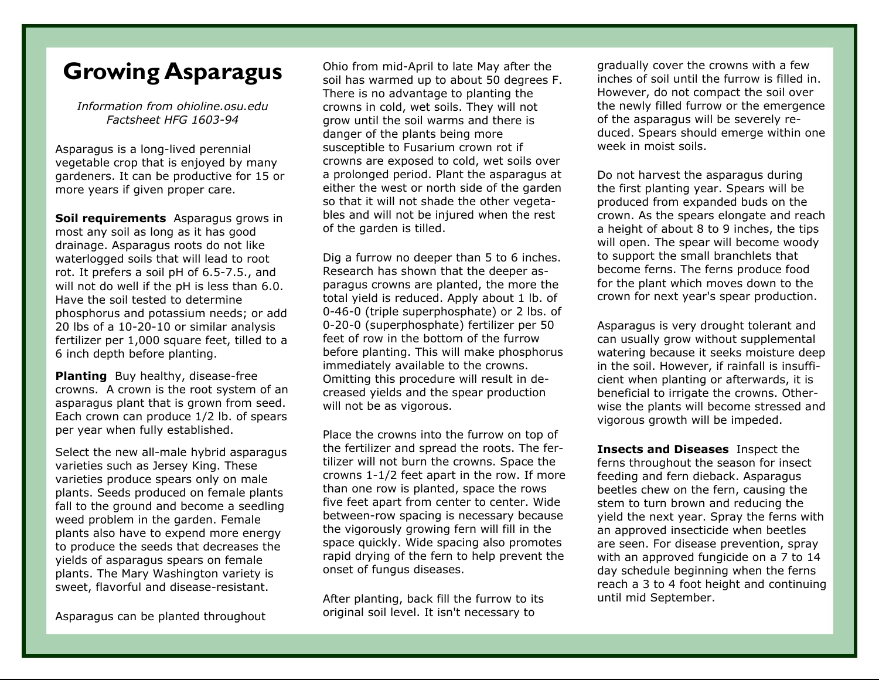## **Growing Asparagus**

*Information from ohioline.osu.edu Factsheet HFG 1603-94* 

Asparagus is a long-lived perennial vegetable crop that is enjoyed by many gardeners. It can be productive for 15 or more years if given proper care.

**Soil requirements** Asparagus grows in most any soil as long as it has good drainage. Asparagus roots do not like waterlogged soils that will lead to root rot. It prefers a soil pH of 6.5-7.5., and will not do well if the pH is less than 6.0. Have the soil tested to determine phosphorus and potassium needs; or add 20 lbs of a 10-20-10 or similar analysis fertilizer per 1,000 square feet, tilled to a 6 inch depth before planting.

**Planting** Buy healthy, disease-free crowns. A crown is the root system of an asparagus plant that is grown from seed. Each crown can produce 1/2 lb. of spears per year when fully established.

Select the new all-male hybrid asparagus varieties such as Jersey King. These varieties produce spears only on male plants. Seeds produced on female plants fall to the ground and become a seedling weed problem in the garden. Female plants also have to expend more energy to produce the seeds that decreases the yields of asparagus spears on female plants. The Mary Washington variety is sweet, flavorful and disease-resistant.

Asparagus can be planted throughout

Ohio from mid-April to late May after the soil has warmed up to about 50 degrees F. There is no advantage to planting the crowns in cold, wet soils. They will not grow until the soil warms and there is danger of the plants being more susceptible to Fusarium crown rot if crowns are exposed to cold, wet soils over a prolonged period. Plant the asparagus at either the west or north side of the garden so that it will not shade the other vegetables and will not be injured when the rest of the garden is tilled.

Dig a furrow no deeper than 5 to 6 inches. Research has shown that the deeper asparagus crowns are planted, the more the total yield is reduced. Apply about 1 lb. of 0-46-0 (triple superphosphate) or 2 lbs. of 0-20-0 (superphosphate) fertilizer per 50 feet of row in the bottom of the furrow before planting. This will make phosphorus immediately available to the crowns. Omitting this procedure will result in decreased yields and the spear production will not be as vigorous.

Place the crowns into the furrow on top of the fertilizer and spread the roots. The fertilizer will not burn the crowns. Space the crowns 1-1/2 feet apart in the row. If more than one row is planted, space the rows five feet apart from center to center. Wide between-row spacing is necessary because the vigorously growing fern will fill in the space quickly. Wide spacing also promotes rapid drying of the fern to help prevent the onset of fungus diseases.

After planting, back fill the furrow to its original soil level. It isn't necessary to

gradually cover the crowns with a few inches of soil until the furrow is filled in. However, do not compact the soil over the newly filled furrow or the emergence of the asparagus will be severely reduced. Spears should emerge within one week in moist soils.

Do not harvest the asparagus during the first planting year. Spears will be produced from expanded buds on the crown. As the spears elongate and reach a height of about 8 to 9 inches, the tips will open. The spear will become woody to support the small branchlets that become ferns. The ferns produce food for the plant which moves down to the crown for next year's spear production.

Asparagus is very drought tolerant and can usually grow without supplemental watering because it seeks moisture deep in the soil. However, if rainfall is insufficient when planting or afterwards, it is beneficial to irrigate the crowns. Otherwise the plants will become stressed and vigorous growth will be impeded.

**Insects and Diseases** Inspect the ferns throughout the season for insect feeding and fern dieback. Asparagus beetles chew on the fern, causing the stem to turn brown and reducing the yield the next year. Spray the ferns with an approved insecticide when beetles are seen. For disease prevention, spray with an approved fungicide on a 7 to 14 day schedule beginning when the ferns reach a 3 to 4 foot height and continuing until mid September.